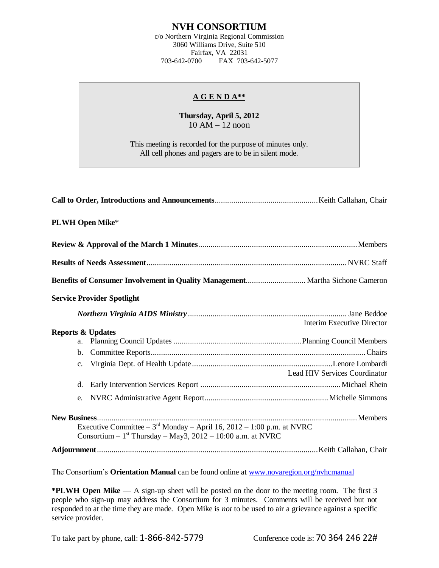## **NVH CONSORTIUM**

c/o Northern Virginia Regional Commission 3060 Williams Drive, Suite 510 Fairfax, VA 22031 703-642-0700 FAX 703-642-5077

## **A G E N D A\*\***

## **Thursday, April 5, 2012**  $10 AM - 12$  noon

This meeting is recorded for the purpose of minutes only. All cell phones and pagers are to be in silent mode.

| <b>PLWH Open Mike*</b>                                                                                                                                            |                                      |
|-------------------------------------------------------------------------------------------------------------------------------------------------------------------|--------------------------------------|
|                                                                                                                                                                   |                                      |
|                                                                                                                                                                   |                                      |
|                                                                                                                                                                   |                                      |
| <b>Service Provider Spotlight</b>                                                                                                                                 |                                      |
|                                                                                                                                                                   | <b>Interim Executive Director</b>    |
| <b>Reports &amp; Updates</b><br>a.                                                                                                                                |                                      |
| b.                                                                                                                                                                |                                      |
| $C_{\bullet}$                                                                                                                                                     | <b>Lead HIV Services Coordinator</b> |
| d.                                                                                                                                                                |                                      |
| e.                                                                                                                                                                |                                      |
| Executive Committee – $3^{\text{rd}}$ Monday – April 16, 2012 – 1:00 p.m. at NVRC<br>Consortium $-1$ <sup>st</sup> Thursday $-$ May3, 2012 $-$ 10:00 a.m. at NVRC |                                      |
|                                                                                                                                                                   |                                      |

The Consortium's **Orientation Manual** can be found online at [www.novaregion.org/nvhcmanual](http://www.novaregion.org/nvhcmanual)

**\*PLWH Open Mike** — A sign-up sheet will be posted on the door to the meeting room. The first 3 people who sign-up may address the Consortium for 3 minutes. Comments will be received but not responded to at the time they are made. Open Mike is *not* to be used to air a grievance against a specific service provider.

To take part by phone, call: 1-866-842-5779 Conference code is: 70 364 246 22#